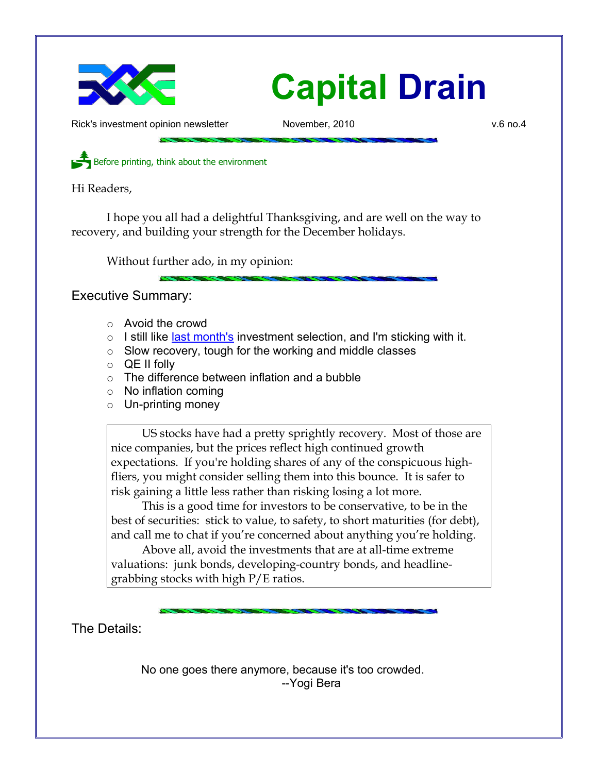

Rick's investment opinion newsletter Movember, 2010 and November, 2010

Before printing, think about the environment

Hi Readers,

I hope you all had a delightful Thanksgiving, and are well on the way to recovery, and building your strength for the December holidays.

Without further ado, in my opinion:

Executive Summary:

- Avoid the crowd
- I still like [last month's](http://www.longspliceinvest.com/CapDrain/CapDrain_v6n3.pdf) investment selection, and I'm sticking with it.
- Slow recovery, tough for the working and middle classes
- $\circ$  QE II folly
- $\circ$  The difference between inflation and a bubble
- No inflation coming
- Un-printing money

US stocks have had a pretty sprightly recovery. Most of those are nice companies, but the prices reflect high continued growth expectations. If you're holding shares of any of the conspicuous highfliers, you might consider selling them into this bounce. It is safer to risk gaining a little less rather than risking losing a lot more.

This is a good time for investors to be conservative, to be in the best of securities: stick to value, to safety, to short maturities (for debt), and call me to chat if you're concerned about anything you're holding.

Above all, avoid the investments that are at all-time extreme valuations: junk bonds, developing-country bonds, and headlinegrabbing stocks with high P/E ratios.

The Details:

No one goes there anymore, because it's too crowded. --Yogi Bera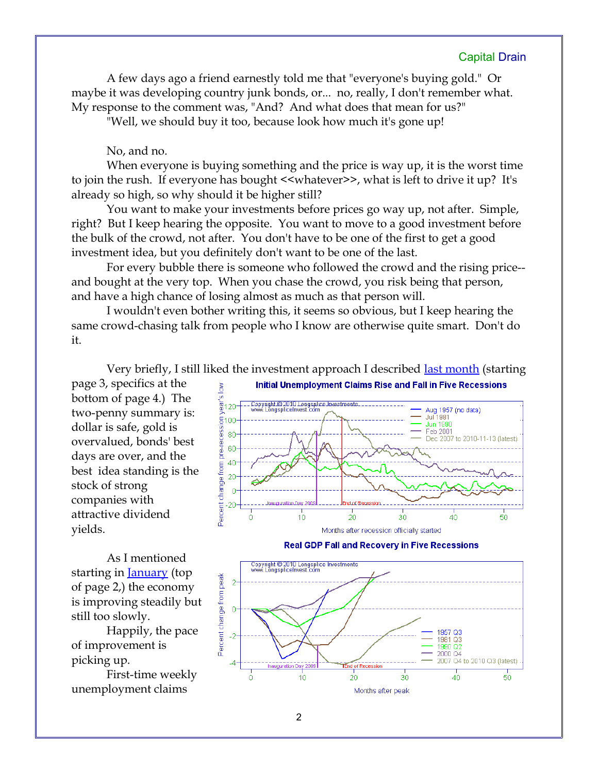A few days ago a friend earnestly told me that "everyone's buying gold." Or maybe it was developing country junk bonds, or... no, really, I don't remember what. My response to the comment was, "And? And what does that mean for us?"

"Well, we should buy it too, because look how much it's gone up!

No, and no.

When everyone is buying something and the price is way up, it is the worst time to join the rush. If everyone has bought <<whatever>>, what is left to drive it up? It's already so high, so why should it be higher still?

You want to make your investments before prices go way up, not after. Simple, right? But I keep hearing the opposite. You want to move to a good investment before the bulk of the crowd, not after. You don't have to be one of the first to get a good investment idea, but you definitely don't want to be one of the last.

For every bubble there is someone who followed the crowd and the rising price- and bought at the very top. When you chase the crowd, you risk being that person, and have a high chance of losing almost as much as that person will.

I wouldn't even bother writing this, it seems so obvious, but I keep hearing the same crowd-chasing talk from people who I know are otherwise quite smart. Don't do it.

Very briefly, I still liked the investment approach I described [last month](http://www.longspliceinvest.com/CapDrain/CapDrain_v6n3.pdf) (starting page 3, specifics at the bottom of page 4.) The two-penny summary is: dollar is safe, gold is overvalued, bonds' best days are over, and the best idea standing is the stock of strong companies with attractive dividend yields.

As I mentioned starting in <u>January</u> (top of page 2,) the economy is improving steadily but still too slowly.

Happily, the pace of improvement is picking up.

First-time weekly unemployment claims





**Real GDP Fall and Recovery in Five Recessions**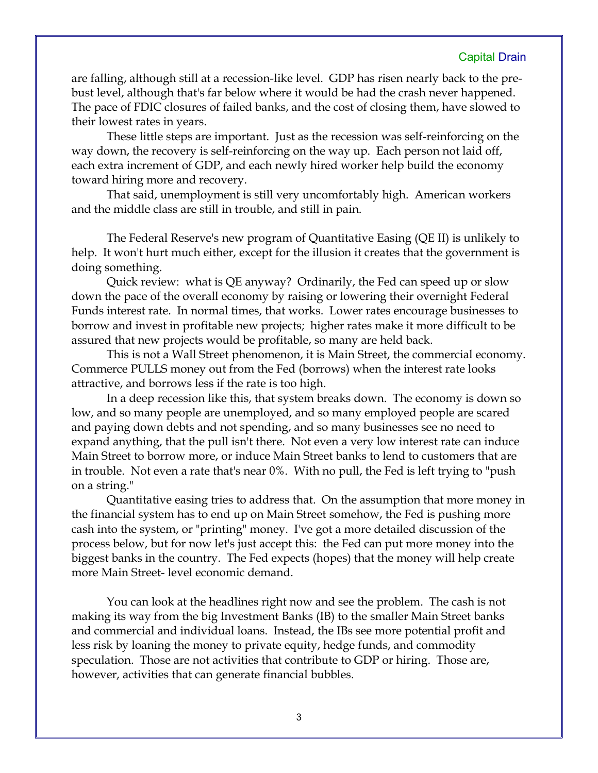are falling, although still at a recession-like level. GDP has risen nearly back to the prebust level, although that's far below where it would be had the crash never happened. The pace of FDIC closures of failed banks, and the cost of closing them, have slowed to their lowest rates in years.

These little steps are important. Just as the recession was self-reinforcing on the way down, the recovery is self-reinforcing on the way up. Each person not laid off, each extra increment of GDP, and each newly hired worker help build the economy toward hiring more and recovery.

That said, unemployment is still very uncomfortably high. American workers and the middle class are still in trouble, and still in pain.

The Federal Reserve's new program of Quantitative Easing (QE II) is unlikely to help. It won't hurt much either, except for the illusion it creates that the government is doing something.

Quick review: what is QE anyway? Ordinarily, the Fed can speed up or slow down the pace of the overall economy by raising or lowering their overnight Federal Funds interest rate. In normal times, that works. Lower rates encourage businesses to borrow and invest in profitable new projects; higher rates make it more difficult to be assured that new projects would be profitable, so many are held back.

This is not a Wall Street phenomenon, it is Main Street, the commercial economy. Commerce PULLS money out from the Fed (borrows) when the interest rate looks attractive, and borrows less if the rate is too high.

In a deep recession like this, that system breaks down. The economy is down so low, and so many people are unemployed, and so many employed people are scared and paying down debts and not spending, and so many businesses see no need to expand anything, that the pull isn't there. Not even a very low interest rate can induce Main Street to borrow more, or induce Main Street banks to lend to customers that are in trouble. Not even a rate that's near 0%. With no pull, the Fed is left trying to "push on a string."

Quantitative easing tries to address that. On the assumption that more money in the financial system has to end up on Main Street somehow, the Fed is pushing more cash into the system, or "printing" money. I've got a more detailed discussion of the process below, but for now let's just accept this: the Fed can put more money into the biggest banks in the country. The Fed expects (hopes) that the money will help create more Main Street- level economic demand.

You can look at the headlines right now and see the problem. The cash is not making its way from the big Investment Banks (IB) to the smaller Main Street banks and commercial and individual loans. Instead, the IBs see more potential profit and less risk by loaning the money to private equity, hedge funds, and commodity speculation. Those are not activities that contribute to GDP or hiring. Those are, however, activities that can generate financial bubbles.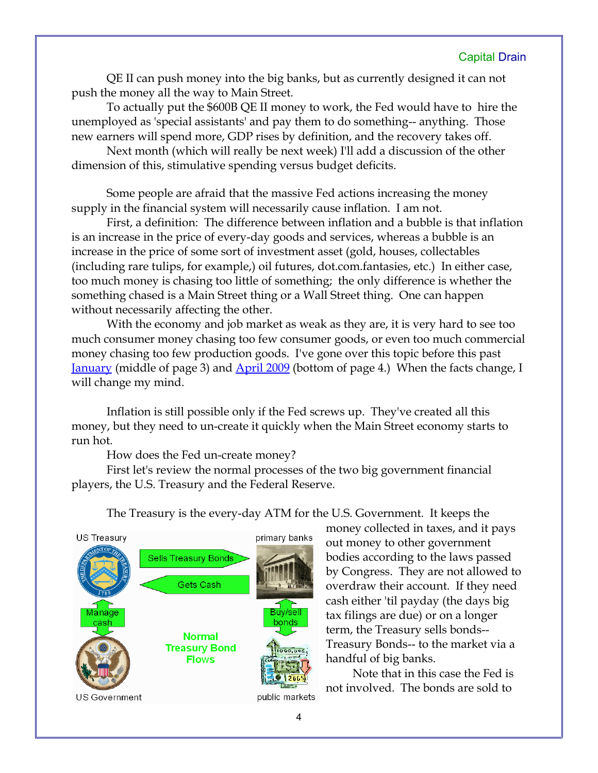QE II can push money into the big banks, but as currently designed it can not push the money all the way to Main Street.

To actually put the \$600B QE II money to work, the Fed would have to hire the unemployed as 'special assistants' and pay them to do something-- anything. Those new earners will spend more, GDP rises by definition, and the recovery takes off.

Next month (which will really be next week) I'll add a discussion of the other dimension of this, stimulative spending versus budget deficits.

Some people are afraid that the massive Fed actions increasing the money supply in the financial system will necessarily cause inflation. I am not.

First, a definition: The difference between inflation and a bubble is that inflation is an increase in the price of every-day goods and services, whereas a bubble is an increase in the price of some sort of investment asset (gold, houses, collectables (including rare tulips, for example,) oil futures, dot.com.fantasies, etc.) In either case, too much money is chasing too little of something; the only difference is whether the something chased is a Main Street thing or a Wall Street thing. One can happen without necessarily affecting the other.

With the economy and job market as weak as they are, it is very hard to see too much consumer money chasing too few consumer goods, or even too much commercial money chasing too few production goods. I've gone over this topic before this past [January](http://www.longspliceinvest.com/CapDrain/CapDrain_v6n1.pdf) (middle of page 3) and [April 2009](http://www.longspliceinvest.com/CapDrain/CapDrain_v5n2.pdf) (bottom of page 4.) When the facts change, I will change my mind.

Inflation is still possible only if the Fed screws up. They've created all this money, but they need to un-create it quickly when the Main Street economy starts to run hot.

How does the Fed un-create money?

First let's review the normal processes of the two big government financial players, the U.S. Treasury and the Federal Reserve.



The Treasury is the every-day ATM for the U.S. Government. It keeps the

money collected in taxes, and it pays out money to other government bodies according to the laws passed by Congress. They are not allowed to overdraw their account. If they need cash either 'til payday (the days big tax filings are due) or on a longer term, the Treasury sells bonds-- Treasury Bonds-- to the market via a handful of big banks.

Note that in this case the Fed is not involved. The bonds are sold to

4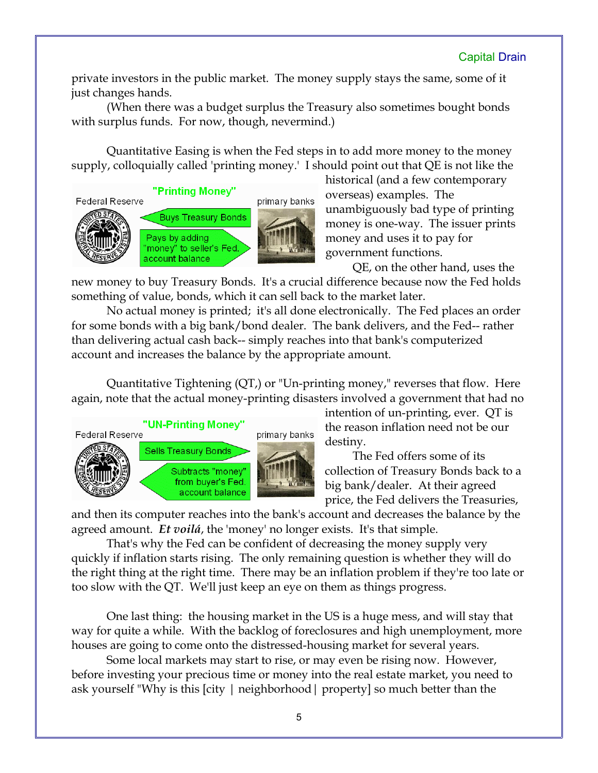private investors in the public market. The money supply stays the same, some of it just changes hands.

(When there was a budget surplus the Treasury also sometimes bought bonds with surplus funds. For now, though, nevermind.)

Quantitative Easing is when the Fed steps in to add more money to the money supply, colloquially called 'printing money.' I should point out that QE is not like the



historical (and a few contemporary overseas) examples. The unambiguously bad type of printing money is one-way. The issuer prints money and uses it to pay for government functions.

QE, on the other hand, uses the

new money to buy Treasury Bonds. It's a crucial difference because now the Fed holds something of value, bonds, which it can sell back to the market later.

No actual money is printed; it's all done electronically. The Fed places an order for some bonds with a big bank/bond dealer. The bank delivers, and the Fed-- rather than delivering actual cash back-- simply reaches into that bank's computerized account and increases the balance by the appropriate amount.

Quantitative Tightening (QT,) or "Un-printing money," reverses that flow. Here again, note that the actual money-printing disasters involved a government that had no



intention of un-printing, ever. QT is the reason inflation need not be our destiny.

The Fed offers some of its collection of Treasury Bonds back to a big bank/dealer. At their agreed price, the Fed delivers the Treasuries,

and then its computer reaches into the bank's account and decreases the balance by the agreed amount. *Et voilá*, the 'money' no longer exists. It's that simple.

That's why the Fed can be confident of decreasing the money supply very quickly if inflation starts rising. The only remaining question is whether they will do the right thing at the right time. There may be an inflation problem if they're too late or too slow with the QT. We'll just keep an eye on them as things progress.

One last thing: the housing market in the US is a huge mess, and will stay that way for quite a while. With the backlog of foreclosures and high unemployment, more houses are going to come onto the distressed-housing market for several years.

Some local markets may start to rise, or may even be rising now. However, before investing your precious time or money into the real estate market, you need to ask yourself "Why is this [city | neighborhood| property] so much better than the